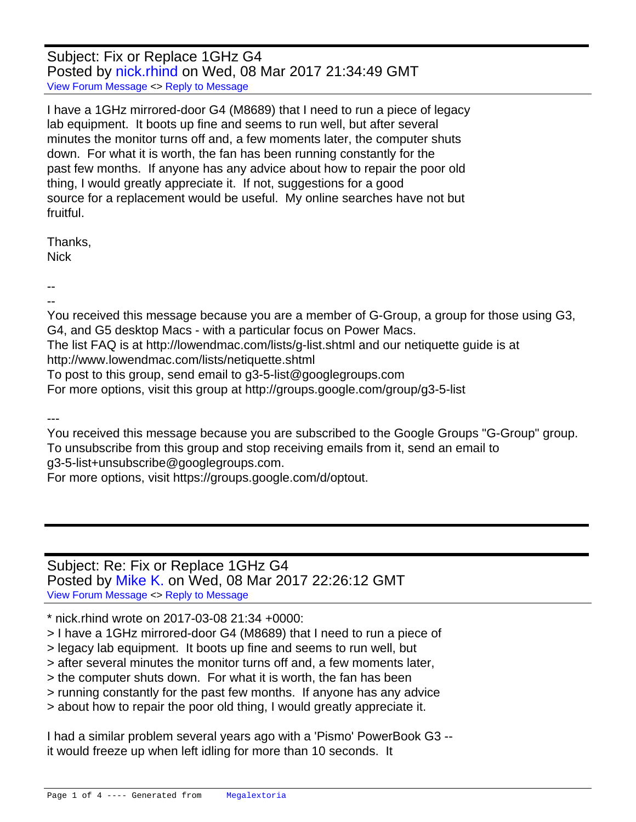Subject: Fix or Replace 1GHz G4 Posted by [nick.rhind](http://www.megalextoria.com/forum2/index.php?t=usrinfo&id=19275) on Wed, 08 Mar 2017 21:34:49 GMT [View Forum Message](http://www.megalextoria.com/forum2/index.php?t=rview&th=97803&goto=338933#msg_338933) <> [Reply to Message](http://www.megalextoria.com/forum2/index.php?t=post&reply_to=338933)

I have a 1GHz mirrored-door G4 (M8689) that I need to run a piece of legacy lab equipment. It boots up fine and seems to run well, but after several minutes the monitor turns off and, a few moments later, the computer shuts down. For what it is worth, the fan has been running constantly for the past few months. If anyone has any advice about how to repair the poor old thing, I would greatly appreciate it. If not, suggestions for a good source for a replacement would be useful. My online searches have not but fruitful.

Thanks, Nick

--

-- You received this message because you are a member of G-Group, a group for those using G3, G4, and G5 desktop Macs - with a particular focus on Power Macs.

The list FAQ is at http://lowendmac.com/lists/g-list.shtml and our netiquette guide is at http://www.lowendmac.com/lists/netiquette.shtml

To post to this group, send email to g3-5-list@googlegroups.com

For more options, visit this group at http://groups.google.com/group/g3-5-list

---

You received this message because you are subscribed to the Google Groups "G-Group" group. To unsubscribe from this group and stop receiving emails from it, send an email to g3-5-list+unsubscribe@googlegroups.com.

For more options, visit https://groups.google.com/d/optout.

## Subject: Re: Fix or Replace 1GHz G4 Posted by [Mike K.](http://www.megalextoria.com/forum2/index.php?t=usrinfo&id=19017) on Wed, 08 Mar 2017 22:26:12 GMT [View Forum Message](http://www.megalextoria.com/forum2/index.php?t=rview&th=97803&goto=338940#msg_338940) <> [Reply to Message](http://www.megalextoria.com/forum2/index.php?t=post&reply_to=338940)

\* nick.rhind wrote on 2017-03-08 21:34 +0000:

> I have a 1GHz mirrored-door G4 (M8689) that I need to run a piece of

> legacy lab equipment. It boots up fine and seems to run well, but

> after several minutes the monitor turns off and, a few moments later,

> the computer shuts down. For what it is worth, the fan has been

> running constantly for the past few months. If anyone has any advice

> about how to repair the poor old thing, I would greatly appreciate it.

I had a similar problem several years ago with a 'Pismo' PowerBook G3 - it would freeze up when left idling for more than 10 seconds. It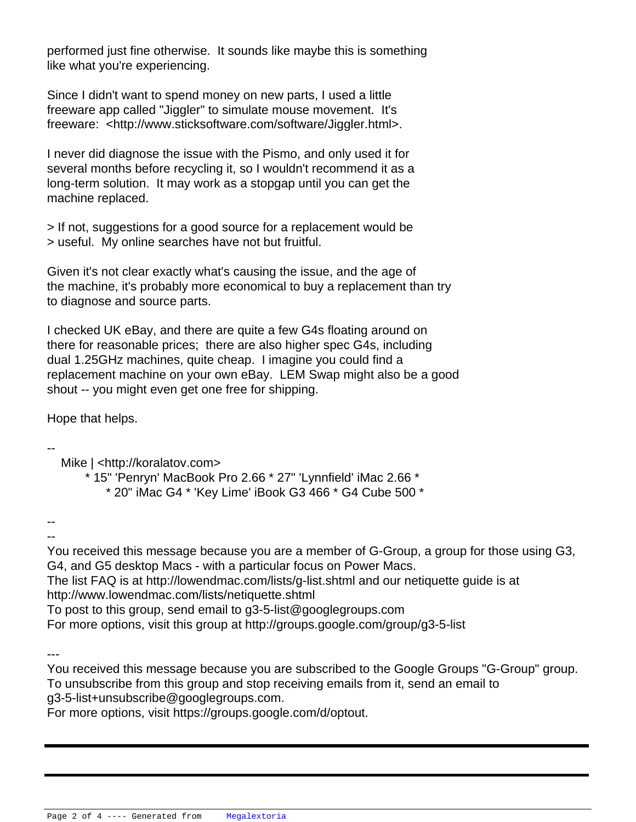performed just fine otherwise. It sounds like maybe this is something like what you're experiencing.

Since I didn't want to spend money on new parts, I used a little freeware app called "Jiggler" to simulate mouse movement. It's freeware: <http://www.sticksoftware.com/software/Jiggler.html>.

I never did diagnose the issue with the Pismo, and only used it for several months before recycling it, so I wouldn't recommend it as a long-term solution. It may work as a stopgap until you can get the machine replaced.

> If not, suggestions for a good source for a replacement would be > useful. My online searches have not but fruitful.

Given it's not clear exactly what's causing the issue, and the age of the machine, it's probably more economical to buy a replacement than try to diagnose and source parts.

I checked UK eBay, and there are quite a few G4s floating around on there for reasonable prices; there are also higher spec G4s, including dual 1.25GHz machines, quite cheap. I imagine you could find a replacement machine on your own eBay. LEM Swap might also be a good shout -- you might even get one free for shipping.

Hope that helps.

-- Mike | <http://koralatov.com> \* 15" 'Penryn' MacBook Pro 2.66 \* 27" 'Lynnfield' iMac 2.66 \* \* 20" iMac G4 \* 'Key Lime' iBook G3 466 \* G4 Cube 500 \*

-- --

You received this message because you are a member of G-Group, a group for those using G3, G4, and G5 desktop Macs - with a particular focus on Power Macs.

The list FAQ is at http://lowendmac.com/lists/g-list.shtml and our netiquette guide is at http://www.lowendmac.com/lists/netiquette.shtml

To post to this group, send email to g3-5-list@googlegroups.com

For more options, visit this group at http://groups.google.com/group/g3-5-list

---

You received this message because you are subscribed to the Google Groups "G-Group" group. To unsubscribe from this group and stop receiving emails from it, send an email to g3-5-list+unsubscribe@googlegroups.com.

For more options, visit https://groups.google.com/d/optout.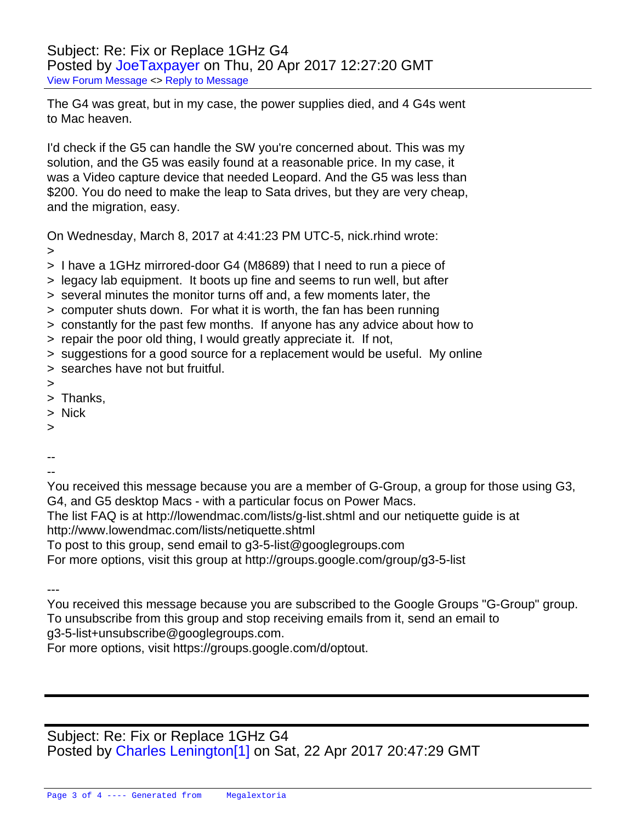Subject: Re: Fix or Replace 1GHz G4 Posted by [JoeTaxpayer](http://www.megalextoria.com/forum2/index.php?t=usrinfo&id=787) on Thu, 20 Apr 2017 12:27:20 GMT [View Forum Message](http://www.megalextoria.com/forum2/index.php?t=rview&th=97803&goto=342277#msg_342277) <> [Reply to Message](http://www.megalextoria.com/forum2/index.php?t=post&reply_to=342277)

The G4 was great, but in my case, the power supplies died, and 4 G4s went to Mac heaven.

I'd check if the G5 can handle the SW you're concerned about. This was my solution, and the G5 was easily found at a reasonable price. In my case, it was a Video capture device that needed Leopard. And the G5 was less than \$200. You do need to make the leap to Sata drives, but they are very cheap, and the migration, easy.

On Wednesday, March 8, 2017 at 4:41:23 PM UTC-5, nick.rhind wrote: >

- > I have a 1GHz mirrored-door G4 (M8689) that I need to run a piece of
- > legacy lab equipment. It boots up fine and seems to run well, but after
- > several minutes the monitor turns off and, a few moments later, the
- > computer shuts down. For what it is worth, the fan has been running
- > constantly for the past few months. If anyone has any advice about how to
- > repair the poor old thing, I would greatly appreciate it. If not,
- > suggestions for a good source for a replacement would be useful. My online
- > searches have not but fruitful.
- >
- > Thanks,
- > Nick
- >
- --
- --

You received this message because you are a member of G-Group, a group for those using G3, G4, and G5 desktop Macs - with a particular focus on Power Macs.

The list FAQ is at http://lowendmac.com/lists/g-list.shtml and our netiquette guide is at http://www.lowendmac.com/lists/netiquette.shtml

To post to this group, send email to g3-5-list@googlegroups.com

For more options, visit this group at http://groups.google.com/group/g3-5-list

---

You received this message because you are subscribed to the Google Groups "G-Group" group. To unsubscribe from this group and stop receiving emails from it, send an email to g3-5-list+unsubscribe@googlegroups.com.

For more options, visit https://groups.google.com/d/optout.

Subject: Re: Fix or Replace 1GHz G4 Posted by Charles Lenington<sup>[1]</sup> on Sat, 22 Apr 2017 20:47:29 GMT